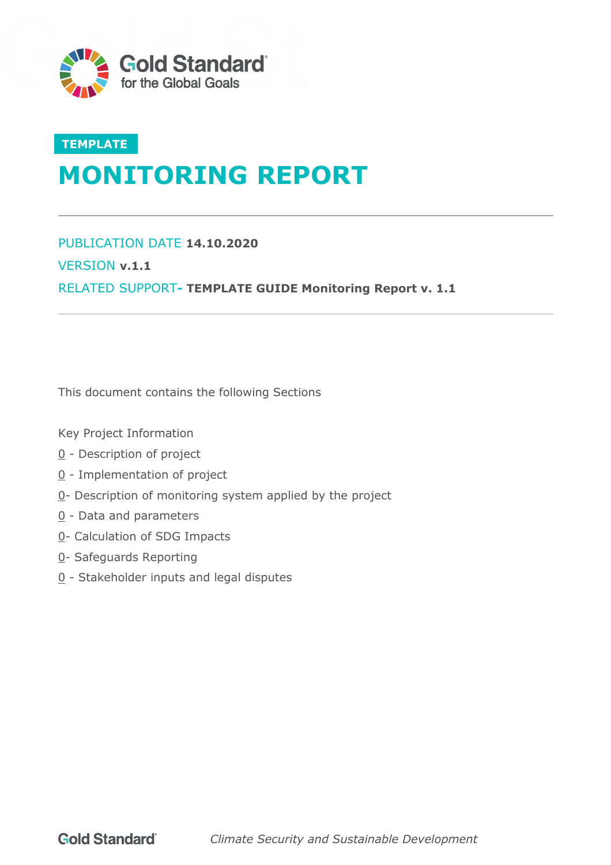

# **TEMPLATE MONITORING REPORT**

PUBLICATION DATE **14.10.2020** VERSION **v.1.1** RELATED SUPPORT**- [TEMPLATE GUIDE Monitoring Report](https://globalgoals.goldstandard.org/standards/TGuide-PerfCert_V1.1-Monitoring-Report.pdf) v. 1.1**

This document contains the following Sections

Key Project Information

- [0](#page-3-0) Description of project
- [0](#page-6-0) Implementation of project
- [0-](#page-8-0) Description of monitoring system applied by the project
- [0](#page-8-1) Data and parameters
- [0-](#page-17-0) Calculation of SDG Impacts
- [0-](#page-21-0) Safeguards Reporting
- [0](#page-21-1) Stakeholder inputs and legal disputes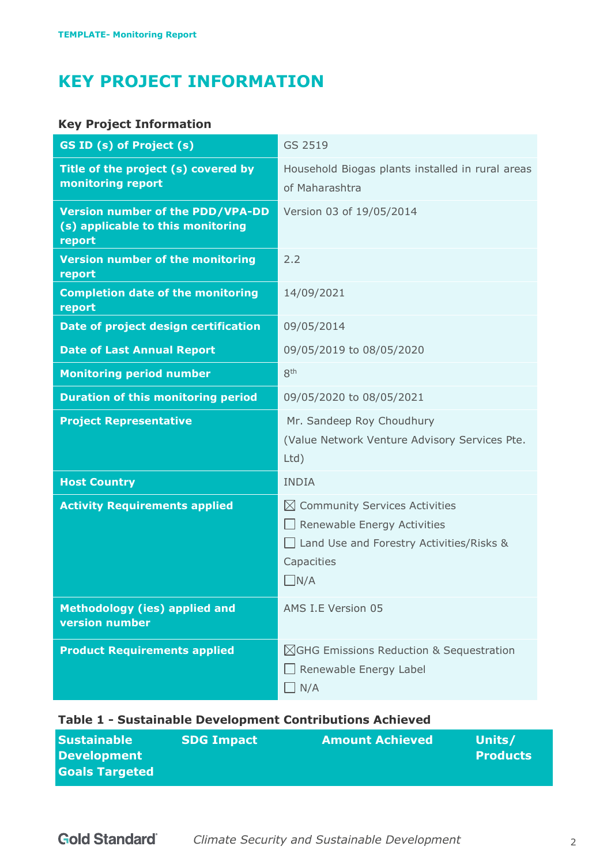# **KEY PROJECT INFORMATION**

# **Key Project Information**

| GS ID (s) of Project (s)                                                               | GS 2519                                                                                                                                                 |
|----------------------------------------------------------------------------------------|---------------------------------------------------------------------------------------------------------------------------------------------------------|
| Title of the project (s) covered by<br>monitoring report                               | Household Biogas plants installed in rural areas<br>of Maharashtra                                                                                      |
| <b>Version number of the PDD/VPA-DD</b><br>(s) applicable to this monitoring<br>report | Version 03 of 19/05/2014                                                                                                                                |
| <b>Version number of the monitoring</b><br>report                                      | 2.2                                                                                                                                                     |
| <b>Completion date of the monitoring</b><br>report                                     | 14/09/2021                                                                                                                                              |
| Date of project design certification                                                   | 09/05/2014                                                                                                                                              |
| <b>Date of Last Annual Report</b>                                                      | 09/05/2019 to 08/05/2020                                                                                                                                |
| <b>Monitoring period number</b>                                                        | 8 <sup>th</sup>                                                                                                                                         |
| <b>Duration of this monitoring period</b>                                              | 09/05/2020 to 08/05/2021                                                                                                                                |
| <b>Project Representative</b>                                                          | Mr. Sandeep Roy Choudhury<br>(Value Network Venture Advisory Services Pte.<br>Ltd)                                                                      |
| <b>Host Country</b>                                                                    | <b>INDIA</b>                                                                                                                                            |
| <b>Activity Requirements applied</b>                                                   | $\boxtimes$ Community Services Activities<br>$\Box$ Renewable Energy Activities<br>Land Use and Forestry Activities/Risks &<br>Capacities<br>$\Box N/A$ |
| <b>Methodology (ies) applied and</b><br><b>version</b> number                          | AMS I.E Version 05                                                                                                                                      |
| <b>Product Requirements applied</b>                                                    | $\boxtimes$ GHG Emissions Reduction & Sequestration<br>Renewable Energy Label<br>$\Box$ N/A                                                             |

# **Table 1 - Sustainable Development Contributions Achieved**

| <b>Sustainable</b>    | <b>SDG Impact</b> | <b>Amount Achieved</b> | Units/          |
|-----------------------|-------------------|------------------------|-----------------|
| <b>Development</b>    |                   |                        | <b>Products</b> |
| <b>Goals Targeted</b> |                   |                        |                 |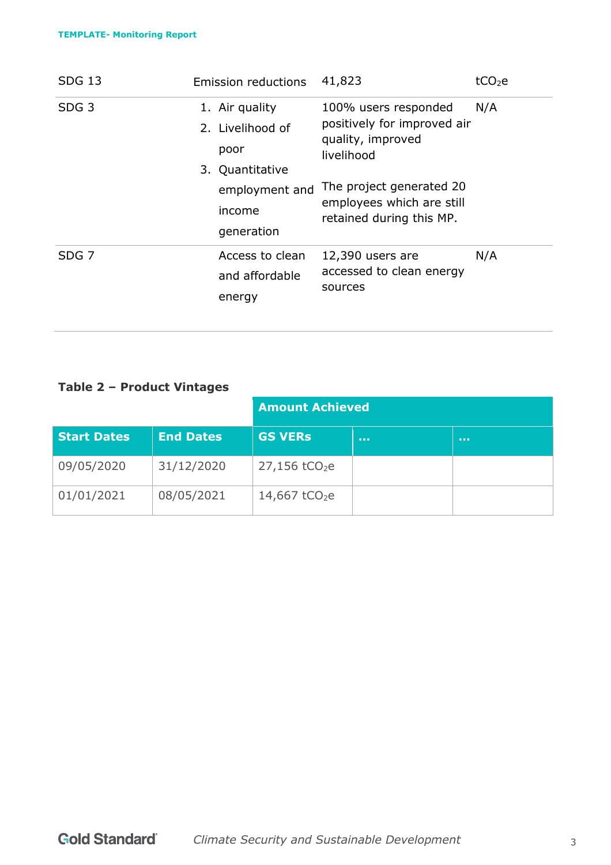#### **TEMPLATE- Monitoring Report**

| <b>SDG 13</b>    | <b>Emission reductions</b>                                    | 41,823                                                                                 | tCO <sub>2</sub> e |
|------------------|---------------------------------------------------------------|----------------------------------------------------------------------------------------|--------------------|
| SDG <sub>3</sub> | 1. Air quality<br>2. Livelihood of<br>poor<br>3. Quantitative | 100% users responded<br>positively for improved air<br>quality, improved<br>livelihood | N/A                |
|                  | employment and<br>income<br>generation                        | The project generated 20<br>employees which are still<br>retained during this MP.      |                    |
| SDG <sub>7</sub> | Access to clean<br>and affordable<br>energy                   | 12,390 users are<br>accessed to clean energy<br>sources                                | N/A                |

# **Table 2 – Product Vintages**

|                    |                  | <b>Amount Achieved</b>      |                 |              |
|--------------------|------------------|-----------------------------|-----------------|--------------|
| <b>Start Dates</b> | <b>End Dates</b> | <b>GS VERS</b>              | <b>ALC UNIT</b> | <b>ALC N</b> |
| 09/05/2020         | 31/12/2020       | $27,156$ tCO <sub>2</sub> e |                 |              |
| 01/01/2021         | 08/05/2021       | 14,667 $tCO2e$              |                 |              |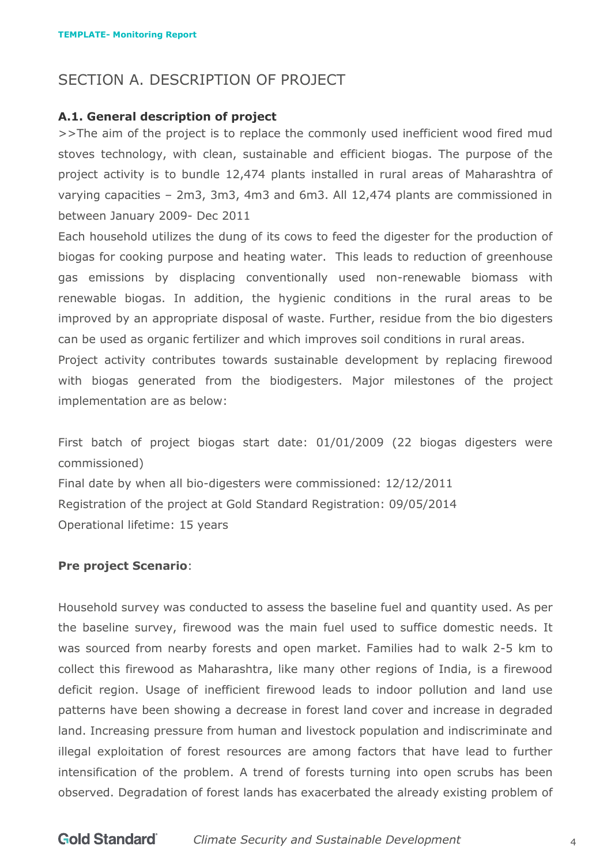# <span id="page-3-0"></span>SECTION A. DESCRIPTION OF PROJECT

#### **A.1. General description of project**

>>The aim of the project is to replace the commonly used inefficient wood fired mud stoves technology, with clean, sustainable and efficient biogas. The purpose of the project activity is to bundle 12,474 plants installed in rural areas of Maharashtra of varying capacities – 2m3, 3m3, 4m3 and 6m3. All 12,474 plants are commissioned in between January 2009- Dec 2011

Each household utilizes the dung of its cows to feed the digester for the production of biogas for cooking purpose and heating water. This leads to reduction of greenhouse gas emissions by displacing conventionally used non-renewable biomass with renewable biogas. In addition, the hygienic conditions in the rural areas to be improved by an appropriate disposal of waste. Further, residue from the bio digesters can be used as organic fertilizer and which improves soil conditions in rural areas.

Project activity contributes towards sustainable development by replacing firewood with biogas generated from the biodigesters. Major milestones of the project implementation are as below:

First batch of project biogas start date: 01/01/2009 (22 biogas digesters were commissioned) Final date by when all bio-digesters were commissioned: 12/12/2011 Registration of the project at Gold Standard Registration: 09/05/2014 Operational lifetime: 15 years

#### **Pre project Scenario**:

Household survey was conducted to assess the baseline fuel and quantity used. As per the baseline survey, firewood was the main fuel used to suffice domestic needs. It was sourced from nearby forests and open market. Families had to walk 2-5 km to collect this firewood as Maharashtra, like many other regions of India, is a firewood deficit region. Usage of inefficient firewood leads to indoor pollution and land use patterns have been showing a decrease in forest land cover and increase in degraded land. Increasing pressure from human and livestock population and indiscriminate and illegal exploitation of forest resources are among factors that have lead to further intensification of the problem. A trend of forests turning into open scrubs has been observed. Degradation of forest lands has exacerbated the already existing problem of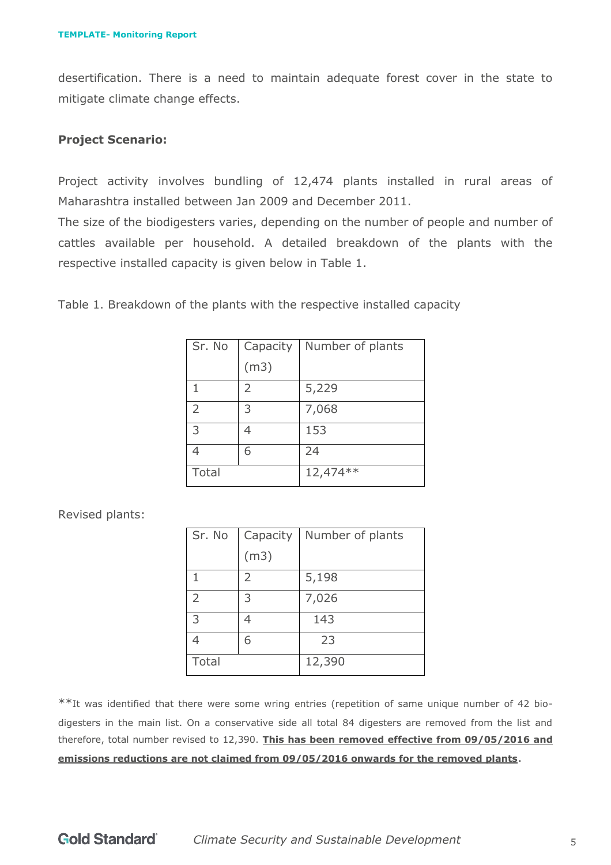desertification. There is a need to maintain adequate forest cover in the state to mitigate climate change effects.

#### **Project Scenario:**

Project activity involves bundling of 12,474 plants installed in rural areas of Maharashtra installed between Jan 2009 and December 2011.

The size of the biodigesters varies, depending on the number of people and number of cattles available per household. A detailed breakdown of the plants with the respective installed capacity is given below in Table 1.

Table 1. Breakdown of the plants with the respective installed capacity

| Sr. No | Capacity | Number of plants |
|--------|----------|------------------|
|        | (m3)     |                  |
| 1      | 2        | 5,229            |
| 2      | 3        | 7,068            |
| 3      |          | 153              |
|        | 6        | 24               |
| Total  |          | 12,474 **        |

Revised plants:

| Sr. No | Capacity       | Number of plants |
|--------|----------------|------------------|
|        | (m3)           |                  |
| 1      | $\overline{2}$ | 5,198            |
| 2      | 3              | 7,026            |
| 3      |                | 143              |
|        | 6              | 23               |
| Total  |                | 12,390           |

\*\*It was identified that there were some wring entries (repetition of same unique number of 42 biodigesters in the main list. On a conservative side all total 84 digesters are removed from the list and therefore, total number revised to 12,390. **This has been removed effective from 09/05/2016 and emissions reductions are not claimed from 09/05/2016 onwards for the removed plants**.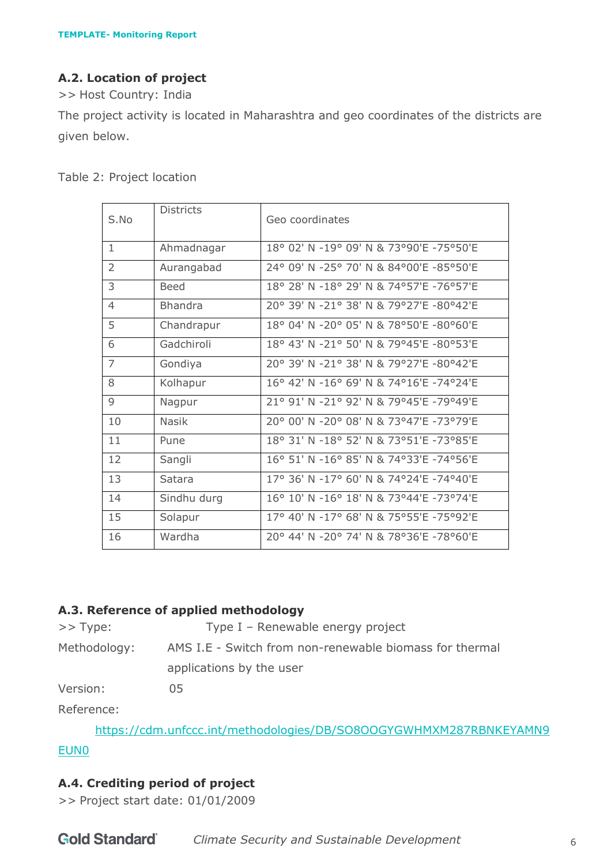# **A.2. Location of project**

>> Host Country: India

The project activity is located in Maharashtra and geo coordinates of the districts are given below.

| S.No           | <b>Districts</b> | Geo coordinates                              |
|----------------|------------------|----------------------------------------------|
| $\mathbf{1}$   | Ahmadnagar       | 18° 02' N -19° 09' N & 73°90'E -75°50'E      |
| $\overline{2}$ | Aurangabad       | 24° 09' N -25° 70' N & 84°00'E -85°50'E      |
| 3              | <b>Beed</b>      | 18° 28' N -18° 29' N & 74° 57' E - 76° 57' E |
| 4              | <b>Bhandra</b>   | 20° 39' N -21° 38' N & 79°27'E -80°42'E      |
| 5              | Chandrapur       | 18° 04' N -20° 05' N & 78°50'E -80°60'E      |
| 6              | Gadchiroli       | 18° 43' N -21° 50' N & 79°45'E -80°53'E      |
| $\overline{7}$ | Gondiya          | 20° 39' N -21° 38' N & 79°27'E -80°42'E      |
| 8              | Kolhapur         | 16° 42' N -16° 69' N & 74°16'E -74°24'E      |
| 9              | Nagpur           | 21° 91' N -21° 92' N & 79°45'E -79°49'E      |
| 10             | <b>Nasik</b>     | 20° 00' N -20° 08' N & 73°47'E -73°79'E      |
| 11             | Pune             | 18° 31' N -18° 52' N & 73°51'E -73°85'E      |
| 12             | Sangli           | 16° 51' N -16° 85' N & 74°33'E -74°56'E      |
| 13             | Satara           | 17° 36' N -17° 60' N & 74°24'E -74°40'E      |
| 14             | Sindhu durg      | 16° 10' N -16° 18' N & 73°44'E -73°74'E      |
| 15             | Solapur          | 17° 40' N -17° 68' N & 75°55'E -75°92'E      |
| 16             | Wardha           | 20° 44' N -20° 74' N & 78°36'E -78°60'E      |

Table 2: Project location

# **A.3. Reference of applied methodology**

>> Type: Type I – Renewable energy project Methodology: AMS I.E - Switch from non-renewable biomass for thermal applications by the user

Version: 05

Reference:

[https://cdm.unfccc.int/methodologies/DB/SO8OOGYGWHMXM287RBNKEYAMN9](https://cdm.unfccc.int/methodologies/DB/SO8OOGYGWHMXM287RBNKEYAMN9EUN0)

# [EUN0](https://cdm.unfccc.int/methodologies/DB/SO8OOGYGWHMXM287RBNKEYAMN9EUN0)

# **A.4. Crediting period of project**

>> Project start date: 01/01/2009

| <b>Gold Standard</b><br><b>Climate Security and Sustainable Development</b> |  |
|-----------------------------------------------------------------------------|--|
|-----------------------------------------------------------------------------|--|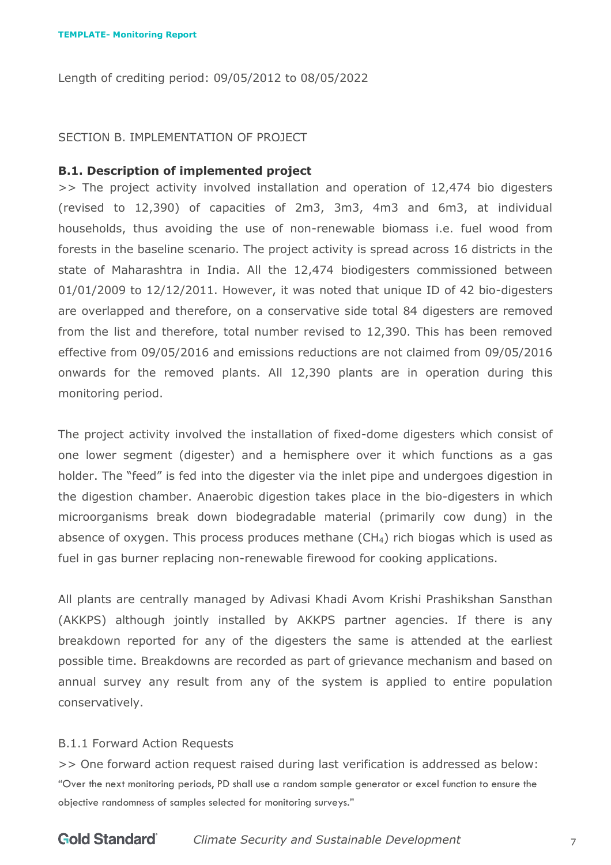<span id="page-6-0"></span>Length of crediting period: 09/05/2012 to 08/05/2022

#### SECTION B. IMPLEMENTATION OF PROJECT

#### **B.1. Description of implemented project**

>> The project activity involved installation and operation of 12,474 bio digesters (revised to 12,390) of capacities of 2m3, 3m3, 4m3 and 6m3, at individual households, thus avoiding the use of non-renewable biomass i.e. fuel wood from forests in the baseline scenario. The project activity is spread across 16 districts in the state of Maharashtra in India. All the 12,474 biodigesters commissioned between 01/01/2009 to 12/12/2011. However, it was noted that unique ID of 42 bio-digesters are overlapped and therefore, on a conservative side total 84 digesters are removed from the list and therefore, total number revised to 12,390. This has been removed effective from 09/05/2016 and emissions reductions are not claimed from 09/05/2016 onwards for the removed plants. All 12,390 plants are in operation during this monitoring period.

The project activity involved the installation of fixed-dome digesters which consist of one lower segment (digester) and a hemisphere over it which functions as a gas holder. The "feed" is fed into the digester via the inlet pipe and undergoes digestion in the digestion chamber. Anaerobic digestion takes place in the bio-digesters in which microorganisms break down biodegradable material (primarily cow dung) in the absence of oxygen. This process produces methane (CH4) rich biogas which is used as fuel in gas burner replacing non-renewable firewood for cooking applications.

All plants are centrally managed by Adivasi Khadi Avom Krishi Prashikshan Sansthan (AKKPS) although jointly installed by AKKPS partner agencies. If there is any breakdown reported for any of the digesters the same is attended at the earliest possible time. Breakdowns are recorded as part of grievance mechanism and based on annual survey any result from any of the system is applied to entire population conservatively.

#### B.1.1 Forward Action Requests

>> One forward action request raised during last verification is addressed as below: "Over the next monitoring periods, PD shall use a random sample generator or excel function to ensure the objective randomness of samples selected for monitoring surveys."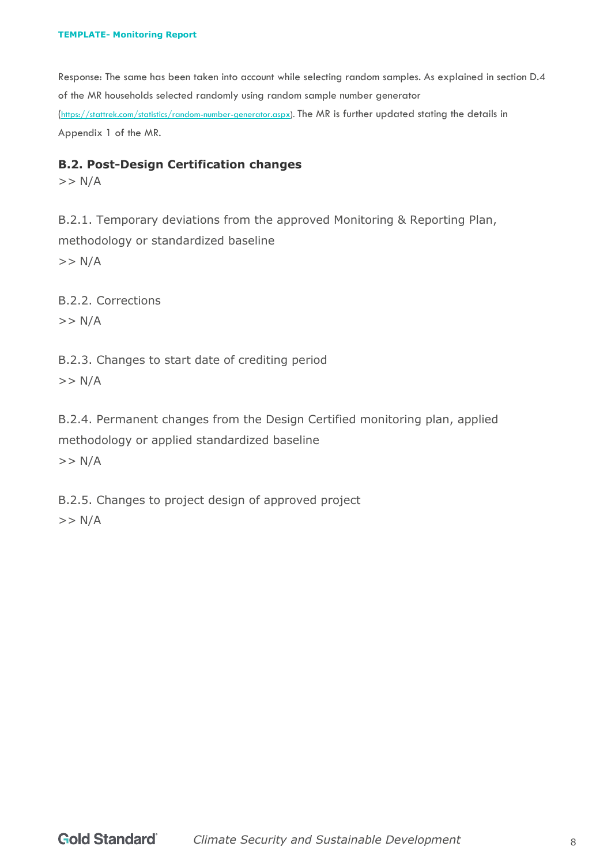Response: The same has been taken into account while selecting random samples. As explained in section D.4 of the MR households selected randomly using random sample number generator ([https://stattrek.com/statistics/random-number-generator.aspx\)](https://stattrek.com/statistics/random-number-generator.aspx). The MR is further updated stating the details in Appendix 1 of the MR.

#### **B.2. Post-Design Certification changes**

 $>> N/A$ 

B.2.1. Temporary deviations from the approved Monitoring & Reporting Plan, methodology or standardized baseline  $>> N/A$ 

B.2.2. Corrections  $>> N/A$ 

B.2.3. Changes to start date of crediting period

 $>> N/A$ 

B.2.4. Permanent changes from the Design Certified monitoring plan, applied methodology or applied standardized baseline

 $>> N/A$ 

B.2.5. Changes to project design of approved project

 $>> N/A$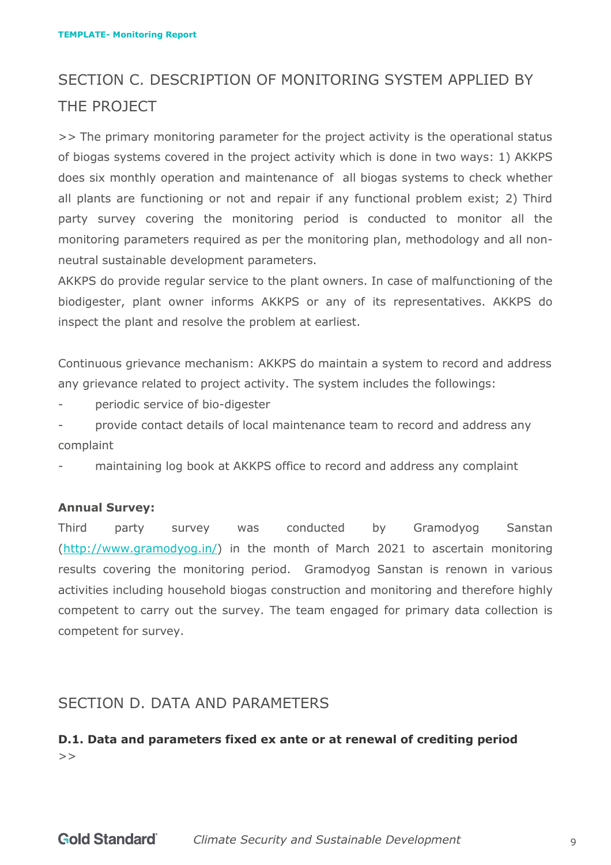# <span id="page-8-0"></span>SECTION C. DESCRIPTION OF MONITORING SYSTEM APPLIED BY THE PROJECT

>> The primary monitoring parameter for the project activity is the operational status of biogas systems covered in the project activity which is done in two ways: 1) AKKPS does six monthly operation and maintenance of all biogas systems to check whether all plants are functioning or not and repair if any functional problem exist; 2) Third party survey covering the monitoring period is conducted to monitor all the monitoring parameters required as per the monitoring plan, methodology and all nonneutral sustainable development parameters.

AKKPS do provide regular service to the plant owners. In case of malfunctioning of the biodigester, plant owner informs AKKPS or any of its representatives. AKKPS do inspect the plant and resolve the problem at earliest.

Continuous grievance mechanism: AKKPS do maintain a system to record and address any grievance related to project activity. The system includes the followings:

periodic service of bio-digester

provide contact details of local maintenance team to record and address any complaint

maintaining log book at AKKPS office to record and address any complaint

#### **Annual Survey:**

Third party survey was conducted by Gramodyog Sanstan [\(http://www.gramodyog.in/\)](http://www.gramodyog.in/) in the month of March 2021 to ascertain monitoring results covering the monitoring period. Gramodyog Sanstan is renown in various activities including household biogas construction and monitoring and therefore highly competent to carry out the survey. The team engaged for primary data collection is competent for survey.

# <span id="page-8-1"></span>SECTION D. DATA AND PARAMETERS

# **D.1. Data and parameters fixed ex ante or at renewal of crediting period**  $>$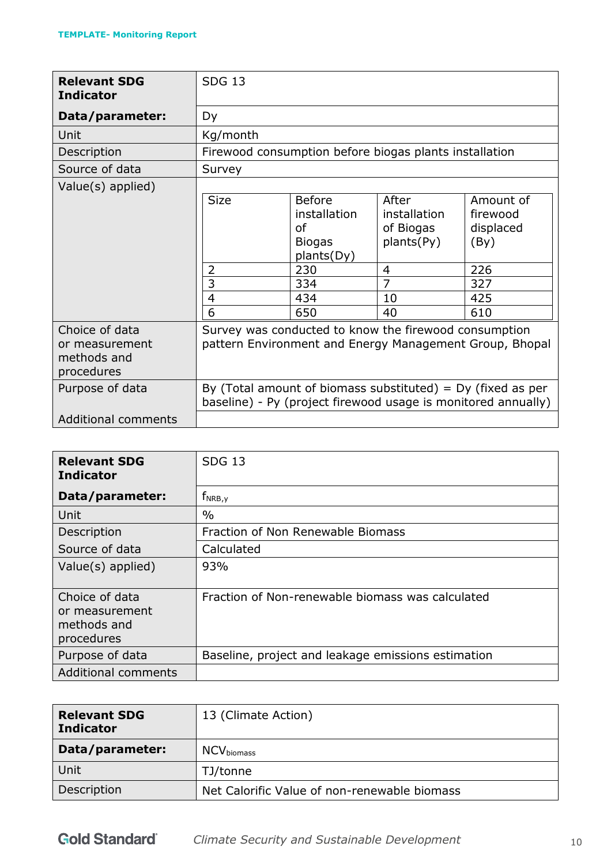| <b>Relevant SDG</b><br><b>Indicator</b>                       | <b>SDG 13</b>                                |                                                                                                |                                                                                                                                |                                                                        |
|---------------------------------------------------------------|----------------------------------------------|------------------------------------------------------------------------------------------------|--------------------------------------------------------------------------------------------------------------------------------|------------------------------------------------------------------------|
| Data/parameter:                                               | Dy                                           |                                                                                                |                                                                                                                                |                                                                        |
| Unit                                                          | Kg/month                                     |                                                                                                |                                                                                                                                |                                                                        |
| Description                                                   |                                              |                                                                                                | Firewood consumption before biogas plants installation                                                                         |                                                                        |
| Source of data                                                | Survey                                       |                                                                                                |                                                                                                                                |                                                                        |
| Value(s) applied)                                             | <b>Size</b><br>2<br>3<br>$\overline{4}$<br>6 | <b>Before</b><br>installation<br>of<br><b>Biogas</b><br>plants(Dy)<br>230<br>334<br>434<br>650 | After<br>installation<br>of Biogas<br>plants(Py)<br>4<br>$\overline{7}$<br>10<br>40                                            | Amount of<br>firewood<br>displaced<br>(By)<br>226<br>327<br>425<br>610 |
| Choice of data<br>or measurement<br>methods and<br>procedures |                                              |                                                                                                | Survey was conducted to know the firewood consumption                                                                          | pattern Environment and Energy Management Group, Bhopal                |
| Purpose of data                                               |                                              |                                                                                                | By (Total amount of biomass substituted) = $Dy$ (fixed as per<br>baseline) - Py (project firewood usage is monitored annually) |                                                                        |
| <b>Additional comments</b>                                    |                                              |                                                                                                |                                                                                                                                |                                                                        |

| <b>Relevant SDG</b><br><b>Indicator</b>                       | <b>SDG 13</b>                                      |
|---------------------------------------------------------------|----------------------------------------------------|
| Data/parameter:                                               | $f_{NRB,y}$                                        |
| Unit                                                          | $\frac{0}{0}$                                      |
| Description                                                   | Fraction of Non Renewable Biomass                  |
| Source of data                                                | Calculated                                         |
| Value(s) applied)                                             | 93%                                                |
| Choice of data<br>or measurement<br>methods and<br>procedures | Fraction of Non-renewable biomass was calculated   |
| Purpose of data                                               | Baseline, project and leakage emissions estimation |
| <b>Additional comments</b>                                    |                                                    |

| <b>Relevant SDG</b><br><b>Indicator</b> | 13 (Climate Action)                          |
|-----------------------------------------|----------------------------------------------|
| Data/parameter:                         | $\mathsf{NCV}_{\mathsf{biomass}}$            |
| Unit                                    | TJ/tonne                                     |
| Description                             | Net Calorific Value of non-renewable biomass |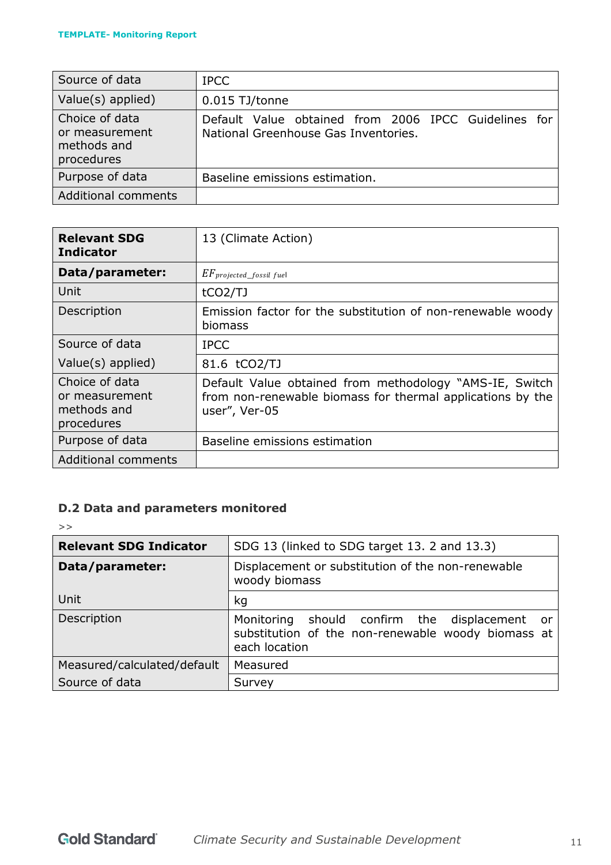| Source of data                                                | <b>IPCC</b>                                                                                  |
|---------------------------------------------------------------|----------------------------------------------------------------------------------------------|
| Value(s) applied)                                             | 0.015 TJ/tonne                                                                               |
| Choice of data<br>or measurement<br>methods and<br>procedures | Default Value obtained from 2006 IPCC Guidelines for<br>National Greenhouse Gas Inventories. |
| Purpose of data                                               | Baseline emissions estimation.                                                               |
| <b>Additional comments</b>                                    |                                                                                              |

| <b>Relevant SDG</b><br><b>Indicator</b>                       | 13 (Climate Action)                                                                                                                    |
|---------------------------------------------------------------|----------------------------------------------------------------------------------------------------------------------------------------|
| Data/parameter:                                               | $EF_{projected\_fossil fuel}$                                                                                                          |
| Unit                                                          | tCO2/TJ                                                                                                                                |
| Description                                                   | Emission factor for the substitution of non-renewable woody<br>biomass                                                                 |
| Source of data                                                | <b>IPCC</b>                                                                                                                            |
| Value(s) applied)                                             | 81.6 tCO2/TJ                                                                                                                           |
| Choice of data<br>or measurement<br>methods and<br>procedures | Default Value obtained from methodology "AMS-IE, Switch<br>from non-renewable biomass for thermal applications by the<br>user", Ver-05 |
| Purpose of data                                               | Baseline emissions estimation                                                                                                          |
| <b>Additional comments</b>                                    |                                                                                                                                        |

# **D.2 Data and parameters monitored**

 $\gt$ 

| <b>Relevant SDG Indicator</b> | SDG 13 (linked to SDG target 13. 2 and 13.3)                                                                               |  |  |  |
|-------------------------------|----------------------------------------------------------------------------------------------------------------------------|--|--|--|
| Data/parameter:               | Displacement or substitution of the non-renewable<br>woody biomass                                                         |  |  |  |
| Unit                          | kg                                                                                                                         |  |  |  |
| Description                   | should confirm the displacement<br>Monitoring<br>or<br>substitution of the non-renewable woody biomass at<br>each location |  |  |  |
| Measured/calculated/default   | Measured                                                                                                                   |  |  |  |
| Source of data                | Survey                                                                                                                     |  |  |  |
|                               |                                                                                                                            |  |  |  |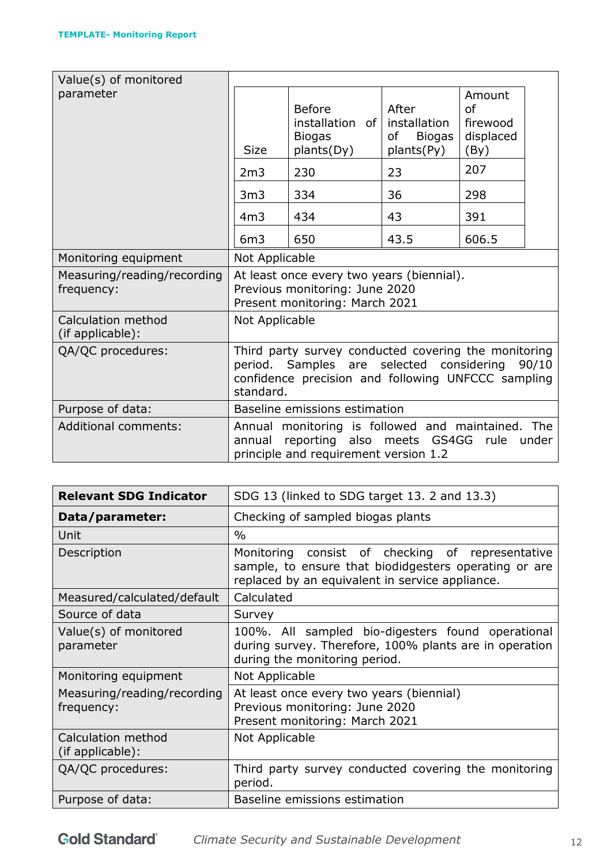| Value(s) of monitored                     |                                                                                                                                                                                 |                                                                                                         |                                                            |                                                          |       |
|-------------------------------------------|---------------------------------------------------------------------------------------------------------------------------------------------------------------------------------|---------------------------------------------------------------------------------------------------------|------------------------------------------------------------|----------------------------------------------------------|-------|
| parameter                                 | <b>Size</b>                                                                                                                                                                     | <b>Before</b><br>installation of<br><b>Biogas</b><br>plants(Dy)                                         | After<br>installation<br><b>Biogas</b><br>of<br>plants(Py) | Amount<br><sub>of</sub><br>firewood<br>displaced<br>(By) |       |
|                                           | 2m3                                                                                                                                                                             | 230                                                                                                     | 23                                                         | 207                                                      |       |
|                                           | 3 <sub>m3</sub>                                                                                                                                                                 | 334                                                                                                     | 36                                                         | 298                                                      |       |
|                                           | 4m <sub>3</sub>                                                                                                                                                                 | 434                                                                                                     | 43                                                         | 391                                                      |       |
|                                           | 6m3                                                                                                                                                                             | 650                                                                                                     | 43.5                                                       | 606.5                                                    |       |
| Monitoring equipment                      | Not Applicable                                                                                                                                                                  |                                                                                                         |                                                            |                                                          |       |
| Measuring/reading/recording<br>frequency: | At least once every two years (biennial).<br>Previous monitoring: June 2020<br>Present monitoring: March 2021                                                                   |                                                                                                         |                                                            |                                                          |       |
| Calculation method<br>(if applicable):    | Not Applicable                                                                                                                                                                  |                                                                                                         |                                                            |                                                          |       |
| QA/QC procedures:                         | Third party survey conducted covering the monitoring<br>Samples are selected considering<br>90/10<br>period.<br>confidence precision and following UNFCCC sampling<br>standard. |                                                                                                         |                                                            |                                                          |       |
| Purpose of data:                          | Baseline emissions estimation                                                                                                                                                   |                                                                                                         |                                                            |                                                          |       |
| <b>Additional comments:</b>               | annual                                                                                                                                                                          | Annual monitoring is followed and maintained. The<br>reporting<br>principle and requirement version 1.2 | also meets GS4GG                                           | rule                                                     | under |

| <b>Relevant SDG Indicator</b>             | SDG 13 (linked to SDG target 13. 2 and 13.3)                                                                                                                 |  |  |  |
|-------------------------------------------|--------------------------------------------------------------------------------------------------------------------------------------------------------------|--|--|--|
| Data/parameter:                           | Checking of sampled biogas plants                                                                                                                            |  |  |  |
| Unit                                      | $\frac{0}{0}$                                                                                                                                                |  |  |  |
| Description                               | Monitoring consist of checking of representative<br>sample, to ensure that biodidgesters operating or are<br>replaced by an equivalent in service appliance. |  |  |  |
| Measured/calculated/default               | Calculated                                                                                                                                                   |  |  |  |
| Source of data                            | Survey                                                                                                                                                       |  |  |  |
| Value(s) of monitored<br>parameter        | 100%. All sampled bio-digesters found operational<br>during survey. Therefore, 100% plants are in operation<br>during the monitoring period.                 |  |  |  |
| Monitoring equipment                      | Not Applicable                                                                                                                                               |  |  |  |
| Measuring/reading/recording<br>frequency: | At least once every two years (biennial)<br>Previous monitoring: June 2020<br>Present monitoring: March 2021                                                 |  |  |  |
| Calculation method<br>(if applicable):    | Not Applicable                                                                                                                                               |  |  |  |
| QA/QC procedures:                         | Third party survey conducted covering the monitoring<br>period.                                                                                              |  |  |  |
| Purpose of data:                          | Baseline emissions estimation                                                                                                                                |  |  |  |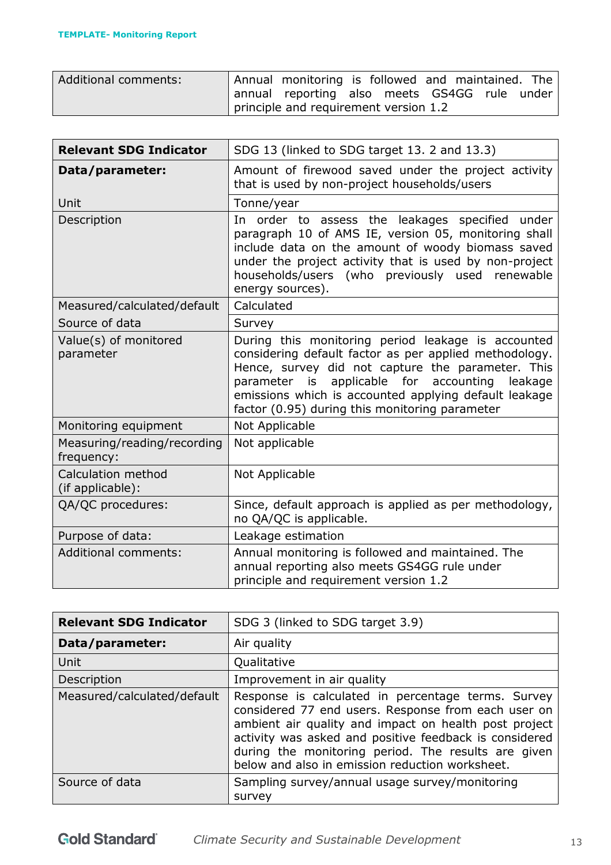| Additional comments: | Annual monitoring is followed and maintained. The |  |  |  |
|----------------------|---------------------------------------------------|--|--|--|
|                      | annual reporting also meets GS4GG rule under      |  |  |  |
|                      | principle and requirement version 1.2             |  |  |  |

| <b>Relevant SDG Indicator</b>             | SDG 13 (linked to SDG target 13. 2 and 13.3)                                                                                                                                                                                                                                                                                               |
|-------------------------------------------|--------------------------------------------------------------------------------------------------------------------------------------------------------------------------------------------------------------------------------------------------------------------------------------------------------------------------------------------|
| Data/parameter:                           | Amount of firewood saved under the project activity<br>that is used by non-project households/users                                                                                                                                                                                                                                        |
| Unit                                      | Tonne/year                                                                                                                                                                                                                                                                                                                                 |
| Description                               | In order to assess the leakages specified under<br>paragraph 10 of AMS IE, version 05, monitoring shall<br>include data on the amount of woody biomass saved<br>under the project activity that is used by non-project<br>households/users (who previously used renewable<br>energy sources).                                              |
| Measured/calculated/default               | Calculated                                                                                                                                                                                                                                                                                                                                 |
| Source of data                            | Survey                                                                                                                                                                                                                                                                                                                                     |
| Value(s) of monitored<br>parameter        | During this monitoring period leakage is accounted<br>considering default factor as per applied methodology.<br>Hence, survey did not capture the parameter. This<br>applicable for<br>accounting<br>parameter<br>is<br>leakage<br>emissions which is accounted applying default leakage<br>factor (0.95) during this monitoring parameter |
| Monitoring equipment                      | Not Applicable                                                                                                                                                                                                                                                                                                                             |
| Measuring/reading/recording<br>frequency: | Not applicable                                                                                                                                                                                                                                                                                                                             |
| Calculation method<br>(if applicable):    | Not Applicable                                                                                                                                                                                                                                                                                                                             |
| QA/QC procedures:                         | Since, default approach is applied as per methodology,<br>no QA/QC is applicable.                                                                                                                                                                                                                                                          |
| Purpose of data:                          | Leakage estimation                                                                                                                                                                                                                                                                                                                         |
| <b>Additional comments:</b>               | Annual monitoring is followed and maintained. The<br>annual reporting also meets GS4GG rule under<br>principle and requirement version 1.2                                                                                                                                                                                                 |

| <b>Relevant SDG Indicator</b> | SDG 3 (linked to SDG target 3.9)                                                                                                                                                                                                                                                                                                       |
|-------------------------------|----------------------------------------------------------------------------------------------------------------------------------------------------------------------------------------------------------------------------------------------------------------------------------------------------------------------------------------|
| Data/parameter:               | Air quality                                                                                                                                                                                                                                                                                                                            |
| Unit                          | Qualitative                                                                                                                                                                                                                                                                                                                            |
| Description                   | Improvement in air quality                                                                                                                                                                                                                                                                                                             |
| Measured/calculated/default   | Response is calculated in percentage terms. Survey<br>considered 77 end users. Response from each user on<br>ambient air quality and impact on health post project<br>activity was asked and positive feedback is considered<br>during the monitoring period. The results are given<br>below and also in emission reduction worksheet. |
| Source of data                | Sampling survey/annual usage survey/monitoring<br>survey                                                                                                                                                                                                                                                                               |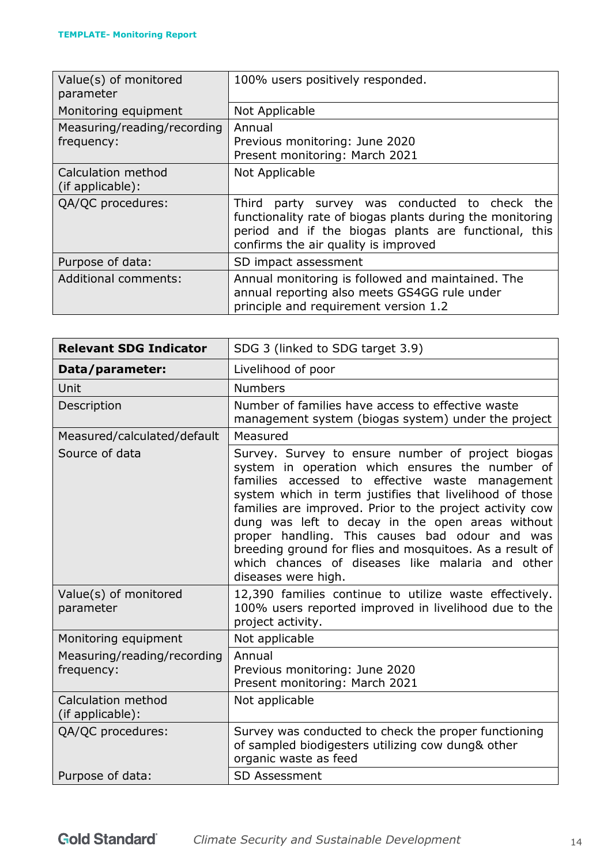| Value(s) of monitored<br>parameter        | 100% users positively responded.                                                                                                                                                                              |
|-------------------------------------------|---------------------------------------------------------------------------------------------------------------------------------------------------------------------------------------------------------------|
| Monitoring equipment                      | Not Applicable                                                                                                                                                                                                |
| Measuring/reading/recording<br>frequency: | Annual<br>Previous monitoring: June 2020<br>Present monitoring: March 2021                                                                                                                                    |
| Calculation method<br>(if applicable):    | Not Applicable                                                                                                                                                                                                |
| QA/QC procedures:                         | party survey was conducted to check the<br>Third<br>functionality rate of biogas plants during the monitoring<br>period and if the biogas plants are functional, this<br>confirms the air quality is improved |
| Purpose of data:                          | SD impact assessment                                                                                                                                                                                          |
| <b>Additional comments:</b>               | Annual monitoring is followed and maintained. The<br>annual reporting also meets GS4GG rule under<br>principle and requirement version 1.2                                                                    |

| <b>Relevant SDG Indicator</b>             | SDG 3 (linked to SDG target 3.9)                                                                                                                                                                                                                                                                                                                                                                                                                                                                                            |
|-------------------------------------------|-----------------------------------------------------------------------------------------------------------------------------------------------------------------------------------------------------------------------------------------------------------------------------------------------------------------------------------------------------------------------------------------------------------------------------------------------------------------------------------------------------------------------------|
| Data/parameter:                           | Livelihood of poor                                                                                                                                                                                                                                                                                                                                                                                                                                                                                                          |
| Unit                                      | <b>Numbers</b>                                                                                                                                                                                                                                                                                                                                                                                                                                                                                                              |
| Description                               | Number of families have access to effective waste<br>management system (biogas system) under the project                                                                                                                                                                                                                                                                                                                                                                                                                    |
| Measured/calculated/default               | Measured                                                                                                                                                                                                                                                                                                                                                                                                                                                                                                                    |
| Source of data                            | Survey. Survey to ensure number of project biogas<br>system in operation which ensures the number of<br>families accessed to effective waste management<br>system which in term justifies that livelihood of those<br>families are improved. Prior to the project activity cow<br>dung was left to decay in the open areas without<br>proper handling. This causes bad odour and was<br>breeding ground for flies and mosquitoes. As a result of<br>which chances of diseases like malaria and other<br>diseases were high. |
| Value(s) of monitored<br>parameter        | 12,390 families continue to utilize waste effectively.<br>100% users reported improved in livelihood due to the<br>project activity.                                                                                                                                                                                                                                                                                                                                                                                        |
| Monitoring equipment                      | Not applicable                                                                                                                                                                                                                                                                                                                                                                                                                                                                                                              |
| Measuring/reading/recording<br>frequency: | Annual<br>Previous monitoring: June 2020<br>Present monitoring: March 2021                                                                                                                                                                                                                                                                                                                                                                                                                                                  |
| Calculation method<br>(if applicable):    | Not applicable                                                                                                                                                                                                                                                                                                                                                                                                                                                                                                              |
| QA/QC procedures:                         | Survey was conducted to check the proper functioning<br>of sampled biodigesters utilizing cow dung& other<br>organic waste as feed                                                                                                                                                                                                                                                                                                                                                                                          |
| Purpose of data:                          | <b>SD Assessment</b>                                                                                                                                                                                                                                                                                                                                                                                                                                                                                                        |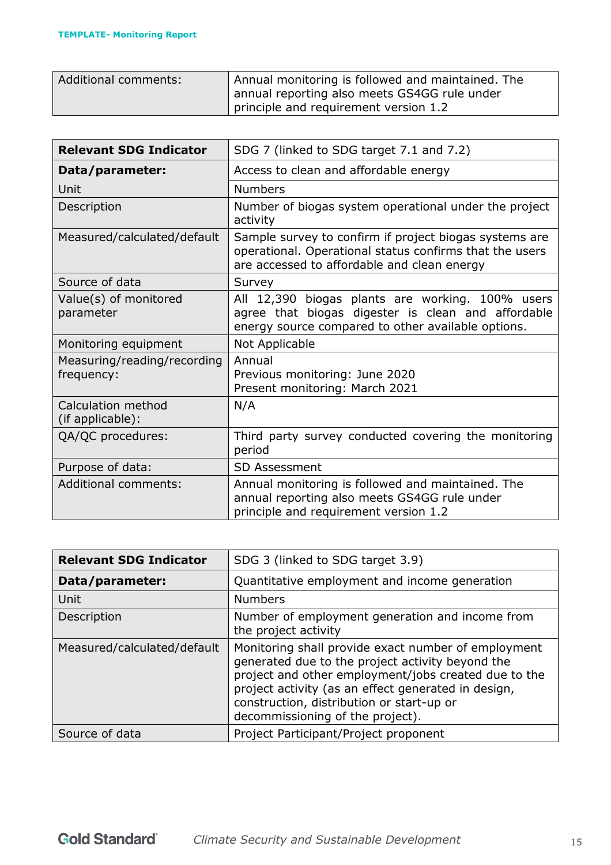| Additional comments: | Annual monitoring is followed and maintained. The<br>annual reporting also meets GS4GG rule under<br>principle and requirement version 1.2 |
|----------------------|--------------------------------------------------------------------------------------------------------------------------------------------|
|----------------------|--------------------------------------------------------------------------------------------------------------------------------------------|

| <b>Relevant SDG Indicator</b>             | SDG 7 (linked to SDG target 7.1 and 7.2)                                                                                                                         |
|-------------------------------------------|------------------------------------------------------------------------------------------------------------------------------------------------------------------|
| Data/parameter:                           | Access to clean and affordable energy                                                                                                                            |
| Unit                                      | <b>Numbers</b>                                                                                                                                                   |
| Description                               | Number of biogas system operational under the project<br>activity                                                                                                |
| Measured/calculated/default               | Sample survey to confirm if project biogas systems are<br>operational. Operational status confirms that the users<br>are accessed to affordable and clean energy |
| Source of data                            | Survey                                                                                                                                                           |
| Value(s) of monitored<br>parameter        | All 12,390 biogas plants are working. 100% users<br>agree that biogas digester is clean and affordable<br>energy source compared to other available options.     |
| Monitoring equipment                      | Not Applicable                                                                                                                                                   |
| Measuring/reading/recording<br>frequency: | Annual<br>Previous monitoring: June 2020<br>Present monitoring: March 2021                                                                                       |
| Calculation method<br>(if applicable):    | N/A                                                                                                                                                              |
| QA/QC procedures:                         | Third party survey conducted covering the monitoring<br>period                                                                                                   |
| Purpose of data:                          | <b>SD Assessment</b>                                                                                                                                             |
| <b>Additional comments:</b>               | Annual monitoring is followed and maintained. The<br>annual reporting also meets GS4GG rule under<br>principle and requirement version 1.2                       |

| <b>Relevant SDG Indicator</b> | SDG 3 (linked to SDG target 3.9)                                                                                                                                                                                                                                                                        |
|-------------------------------|---------------------------------------------------------------------------------------------------------------------------------------------------------------------------------------------------------------------------------------------------------------------------------------------------------|
| Data/parameter:               | Quantitative employment and income generation                                                                                                                                                                                                                                                           |
| Unit                          | <b>Numbers</b>                                                                                                                                                                                                                                                                                          |
| Description                   | Number of employment generation and income from<br>the project activity                                                                                                                                                                                                                                 |
| Measured/calculated/default   | Monitoring shall provide exact number of employment<br>generated due to the project activity beyond the<br>project and other employment/jobs created due to the<br>project activity (as an effect generated in design,<br>construction, distribution or start-up or<br>decommissioning of the project). |
| Source of data                | Project Participant/Project proponent                                                                                                                                                                                                                                                                   |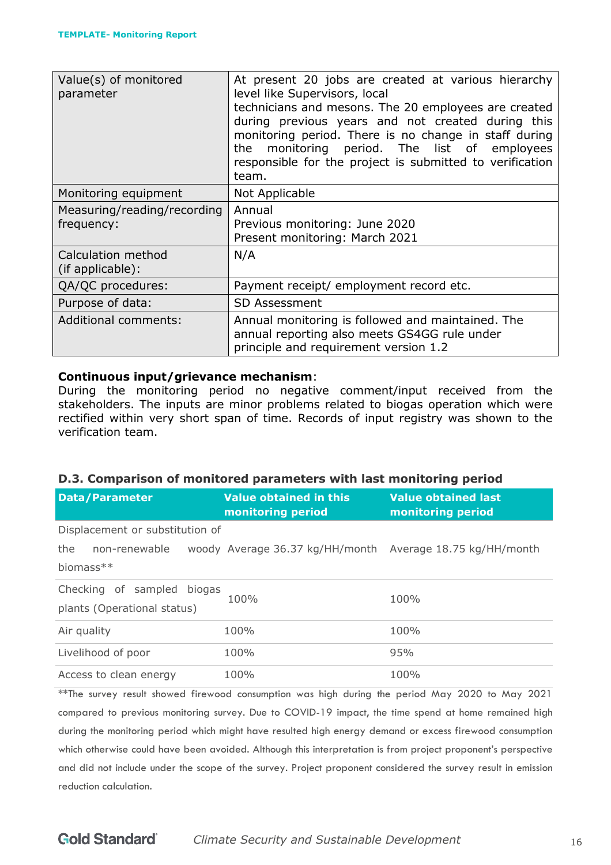| Value(s) of monitored<br>parameter        | At present 20 jobs are created at various hierarchy<br>level like Supervisors, local<br>technicians and mesons. The 20 employees are created<br>during previous years and not created during this<br>monitoring period. There is no change in staff during<br>monitoring period. The list of employees<br>the<br>responsible for the project is submitted to verification<br>team. |
|-------------------------------------------|------------------------------------------------------------------------------------------------------------------------------------------------------------------------------------------------------------------------------------------------------------------------------------------------------------------------------------------------------------------------------------|
| Monitoring equipment                      | Not Applicable                                                                                                                                                                                                                                                                                                                                                                     |
| Measuring/reading/recording<br>frequency: | Annual<br>Previous monitoring: June 2020<br>Present monitoring: March 2021                                                                                                                                                                                                                                                                                                         |
| Calculation method<br>(if applicable):    | N/A                                                                                                                                                                                                                                                                                                                                                                                |
| QA/QC procedures:                         | Payment receipt/ employment record etc.                                                                                                                                                                                                                                                                                                                                            |
| Purpose of data:                          | <b>SD Assessment</b>                                                                                                                                                                                                                                                                                                                                                               |
| <b>Additional comments:</b>               | Annual monitoring is followed and maintained. The<br>annual reporting also meets GS4GG rule under<br>principle and requirement version 1.2                                                                                                                                                                                                                                         |

#### **Continuous input/grievance mechanism**:

During the monitoring period no negative comment/input received from the stakeholders. The inputs are minor problems related to biogas operation which were rectified within very short span of time. Records of input registry was shown to the verification team.

#### **D.3. Comparison of monitored parameters with last monitoring period**

| <b>Data/Parameter</b>                                     | Value obtained in this<br>monitoring period               | <b>Value obtained last</b><br>monitoring period |
|-----------------------------------------------------------|-----------------------------------------------------------|-------------------------------------------------|
| Displacement or substitution of                           |                                                           |                                                 |
| the<br>non-renewable<br>biomass**                         | woody Average 36.37 kg/HH/month Average 18.75 kg/HH/month |                                                 |
| Checking of sampled biogas<br>plants (Operational status) | 100%                                                      | 100%                                            |
| Air quality                                               | 100%                                                      | 100%                                            |
| Livelihood of poor                                        | 100%                                                      | 95%                                             |
| Access to clean energy                                    | 100%                                                      | 100%                                            |

\*\*The survey result showed firewood consumption was high during the period May 2020 to May 2021 compared to previous monitoring survey. Due to COVID-19 impact, the time spend at home remained high during the monitoring period which might have resulted high energy demand or excess firewood consumption which otherwise could have been avoided. Although this interpretation is from project proponent's perspective and did not include under the scope of the survey. Project proponent considered the survey result in emission reduction calculation.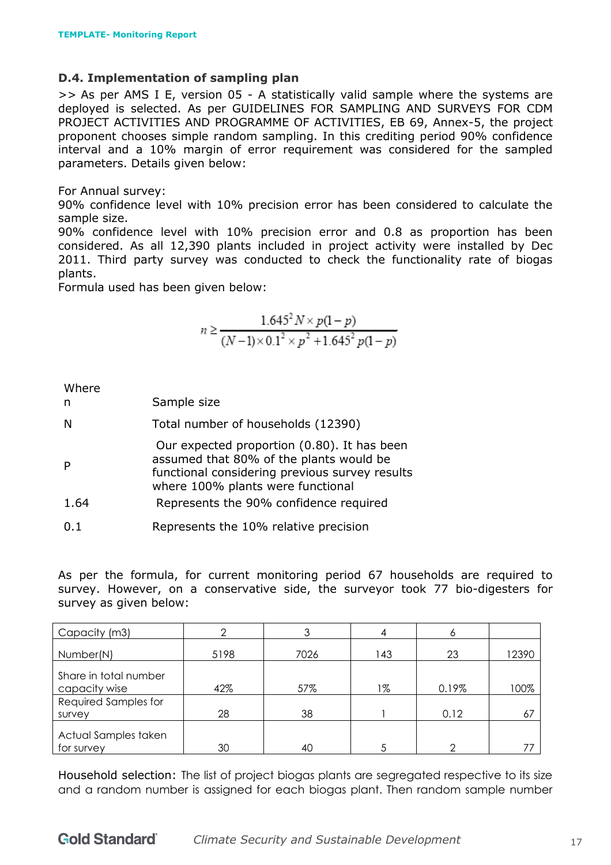#### **D.4. Implementation of sampling plan**

>> As per AMS I E, version 05 - A statistically valid sample where the systems are deployed is selected. As per GUIDELINES FOR SAMPLING AND SURVEYS FOR CDM PROJECT ACTIVITIES AND PROGRAMME OF ACTIVITIES, EB 69, Annex-5, the project proponent chooses simple random sampling. In this crediting period 90% confidence interval and a 10% margin of error requirement was considered for the sampled parameters. Details given below:

#### For Annual survey:

90% confidence level with 10% precision error has been considered to calculate the sample size.

90% confidence level with 10% precision error and 0.8 as proportion has been considered. As all 12,390 plants included in project activity were installed by Dec 2011. Third party survey was conducted to check the functionality rate of biogas plants.

Formula used has been given below:

$$
n \ge \frac{1.645^2 N \times p(1-p)}{(N-1)\times 0.1^2 \times p^2 + 1.645^2 p(1-p)}
$$

Where

| Total number of households (12390)<br>N |  |
|-----------------------------------------|--|
|-----------------------------------------|--|

Our expected proportion (0.80). It has been

- P assumed that 80% of the plants would be functional considering previous survey results where 100% plants were functional
- 1.64 Represents the 90% confidence required
- 0.1 Represents the 10% relative precision

As per the formula, for current monitoring period 67 households are required to survey. However, on a conservative side, the surveyor took 77 bio-digesters for survey as given below:

| Capacity (m3)                          |      | 3    |     |       |       |
|----------------------------------------|------|------|-----|-------|-------|
| Number(N)                              | 5198 | 7026 | 143 | 23    | 12390 |
| Share in total number<br>capacity wise | 42%  | 57%  | 1%  | 0.19% | 100%  |
| Required Samples for<br>survey         | 28   | 38   |     | 0.12  | 67    |
| Actual Samples taken<br>for survey     | 30   | 40   |     |       | 77    |

Household selection: The list of project biogas plants are segregated respective to its size and a random number is assigned for each biogas plant. Then random sample number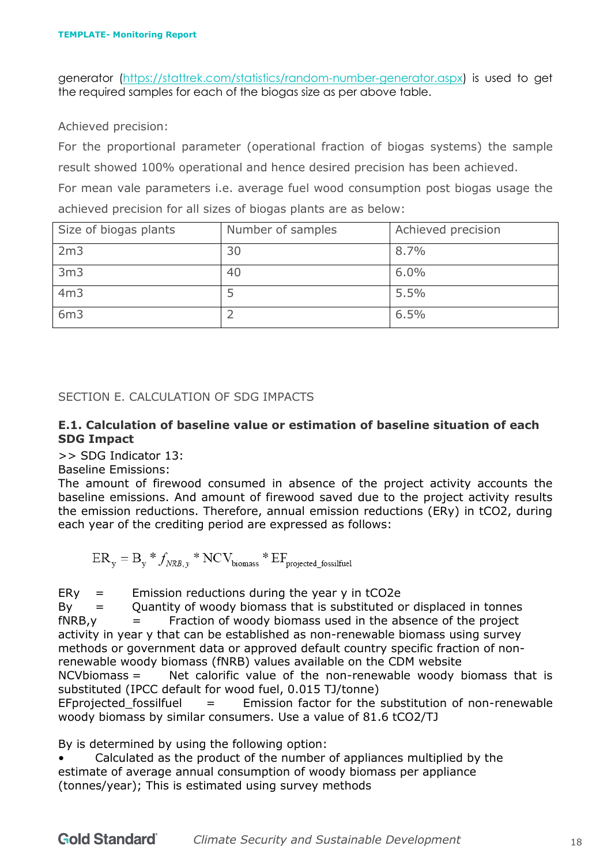generator [\(https://stattrek.com/statistics/random-number-generator.aspx\)](https://stattrek.com/statistics/random-number-generator.aspx) is used to get the required samples for each of the biogas size as per above table.

Achieved precision:

For the proportional parameter (operational fraction of biogas systems) the sample result showed 100% operational and hence desired precision has been achieved.

For mean vale parameters i.e. average fuel wood consumption post biogas usage the achieved precision for all sizes of biogas plants are as below:

| Size of biogas plants | Number of samples | Achieved precision |
|-----------------------|-------------------|--------------------|
| 2m3                   | 30                | 8.7%               |
| 3 <sub>m3</sub>       | 40                | 6.0%               |
| 4m3                   |                   | 5.5%               |
| 6m3                   |                   | 6.5%               |

<span id="page-17-0"></span>SECTION E. CALCULATION OF SDG IMPACTS

#### **E.1. Calculation of baseline value or estimation of baseline situation of each SDG Impact**

>> SDG Indicator 13:

Baseline Emissions:

The amount of firewood consumed in absence of the project activity accounts the baseline emissions. And amount of firewood saved due to the project activity results the emission reductions. Therefore, annual emission reductions (ERy) in tCO2, during each year of the crediting period are expressed as follows:

 $ER_{y} = B_{y} * f_{NRB,y} * NCV_{biomass} * EF_{projected fossilfuel}$ 

 $E$ Ry = Emission reductions during the year y in tCO2e

 $By =$  Quantity of woody biomass that is substituted or displaced in tonnes  $fNRB$ ,  $y =$  Fraction of woody biomass used in the absence of the project activity in year y that can be established as non-renewable biomass using survey methods or government data or approved default country specific fraction of nonrenewable woody biomass (fNRB) values available on the CDM website

 $NCV$ biomass = Net calorific value of the non-renewable woody biomass that is substituted (IPCC default for wood fuel, 0.015 TJ/tonne)

EFprojected fossilfuel  $=$  Emission factor for the substitution of non-renewable woody biomass by similar consumers. Use a value of 81.6 tCO2/TJ

By is determined by using the following option:

• Calculated as the product of the number of appliances multiplied by the estimate of average annual consumption of woody biomass per appliance (tonnes/year); This is estimated using survey methods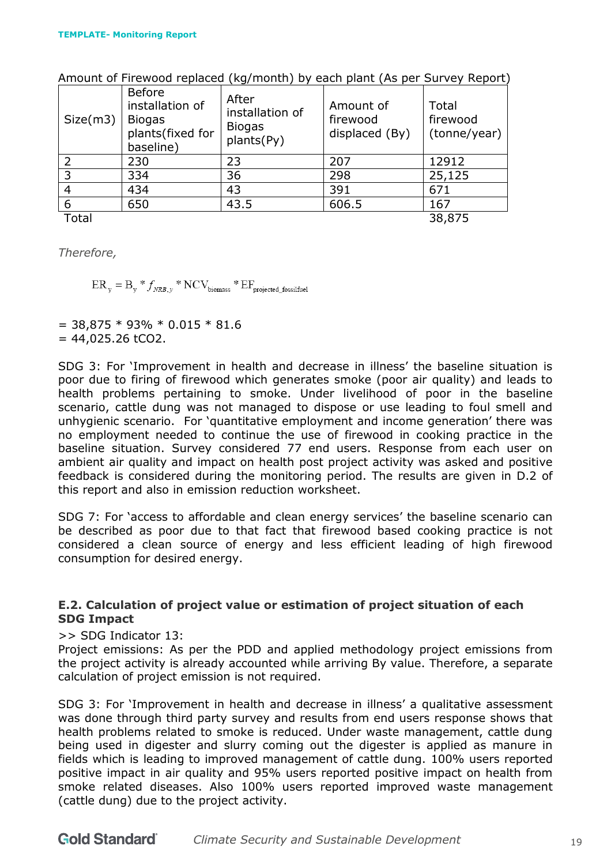| Size(m3) | <b>Before</b><br>installation of<br><b>Biogas</b><br>plants(fixed for<br>baseline) | After<br>installation of<br><b>Biogas</b><br>plants(Py) | Amount of<br>firewood<br>displaced (By) | Total<br>firewood<br>(tonne/year) |
|----------|------------------------------------------------------------------------------------|---------------------------------------------------------|-----------------------------------------|-----------------------------------|
|          | 230                                                                                | 23                                                      | 207                                     | 12912                             |
| 3        | 334                                                                                | 36                                                      | 298                                     | 25,125                            |
| 4        | 434                                                                                | 43                                                      | 391                                     | 671                               |
| 6        | 650                                                                                | 43.5                                                    | 606.5                                   | 167                               |
| Total    |                                                                                    |                                                         |                                         | 38,875                            |

Amount of Firewood replaced (kg/month) by each plant (As per Survey Report)

*Therefore,*

 $ER_{y} = B_{y} * f_{NRB,y} * NCV_{biomass} * EF_{projected fossilfuel}$ 

 $=$  38,875  $*$  93%  $*$  0.015  $*$  81.6  $= 44,025.26$  tCO2.

SDG 3: For 'Improvement in health and decrease in illness' the baseline situation is poor due to firing of firewood which generates smoke (poor air quality) and leads to health problems pertaining to smoke. Under livelihood of poor in the baseline scenario, cattle dung was not managed to dispose or use leading to foul smell and unhygienic scenario. For 'quantitative employment and income generation' there was no employment needed to continue the use of firewood in cooking practice in the baseline situation. Survey considered 77 end users. Response from each user on ambient air quality and impact on health post project activity was asked and positive feedback is considered during the monitoring period. The results are given in D.2 of this report and also in emission reduction worksheet.

SDG 7: For 'access to affordable and clean energy services' the baseline scenario can be described as poor due to that fact that firewood based cooking practice is not considered a clean source of energy and less efficient leading of high firewood consumption for desired energy.

#### **E.2. Calculation of project value or estimation of project situation of each SDG Impact**

>> SDG Indicator 13:

Project emissions: As per the PDD and applied methodology project emissions from the project activity is already accounted while arriving By value. Therefore, a separate calculation of project emission is not required.

SDG 3: For 'Improvement in health and decrease in illness' a qualitative assessment was done through third party survey and results from end users response shows that health problems related to smoke is reduced. Under waste management, cattle dung being used in digester and slurry coming out the digester is applied as manure in fields which is leading to improved management of cattle dung. 100% users reported positive impact in air quality and 95% users reported positive impact on health from smoke related diseases. Also 100% users reported improved waste management (cattle dung) due to the project activity.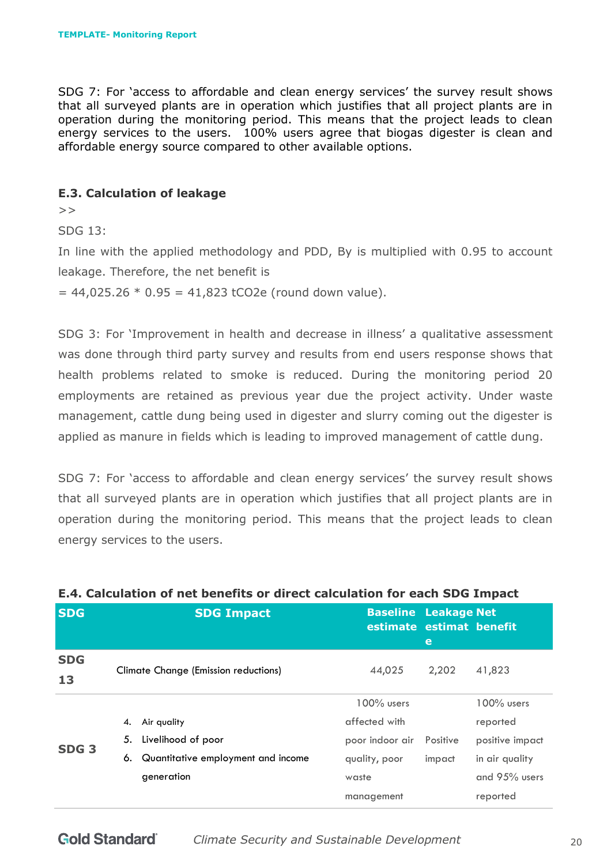SDG 7: For 'access to affordable and clean energy services' the survey result shows that all surveyed plants are in operation which justifies that all project plants are in operation during the monitoring period. This means that the project leads to clean energy services to the users. 100% users agree that biogas digester is clean and affordable energy source compared to other available options.

#### **E.3. Calculation of leakage**

 $>$ 

SDG 13:

In line with the applied methodology and PDD, By is multiplied with 0.95 to account leakage. Therefore, the net benefit is  $= 44,025.26 * 0.95 = 41,823$  tCO2e (round down value).

SDG 3: For 'Improvement in health and decrease in illness' a qualitative assessment was done through third party survey and results from end users response shows that health problems related to smoke is reduced. During the monitoring period 20 employments are retained as previous year due the project activity. Under waste management, cattle dung being used in digester and slurry coming out the digester is applied as manure in fields which is leading to improved management of cattle dung.

SDG 7: For 'access to affordable and clean energy services' the survey result shows that all surveyed plants are in operation which justifies that all project plants are in operation during the monitoring period. This means that the project leads to clean energy services to the users.

| <b>SDG</b>       |    | <b>SDG Impact</b>                           | <b>Baseline Leakage Net</b><br>estimate estimat benefit | e        |                 |
|------------------|----|---------------------------------------------|---------------------------------------------------------|----------|-----------------|
| <b>SDG</b><br>13 |    | <b>Climate Change (Emission reductions)</b> | 44,025                                                  | 2,202    | 41,823          |
|                  |    |                                             | $100\%$ users                                           |          | $100\%$ users   |
|                  | 4. | Air quality                                 | affected with                                           |          | reported        |
|                  | 5. | Livelihood of poor                          | poor indoor air                                         | Positive | positive impact |
| SDG <sub>3</sub> | 6. | Quantitative employment and income          | quality, poor                                           | impact   | in air quality  |
|                  |    | generation                                  | waste                                                   |          | and 95% users   |
|                  |    |                                             | management                                              |          | reported        |

#### **E.4. Calculation of net benefits or direct calculation for each SDG Impact**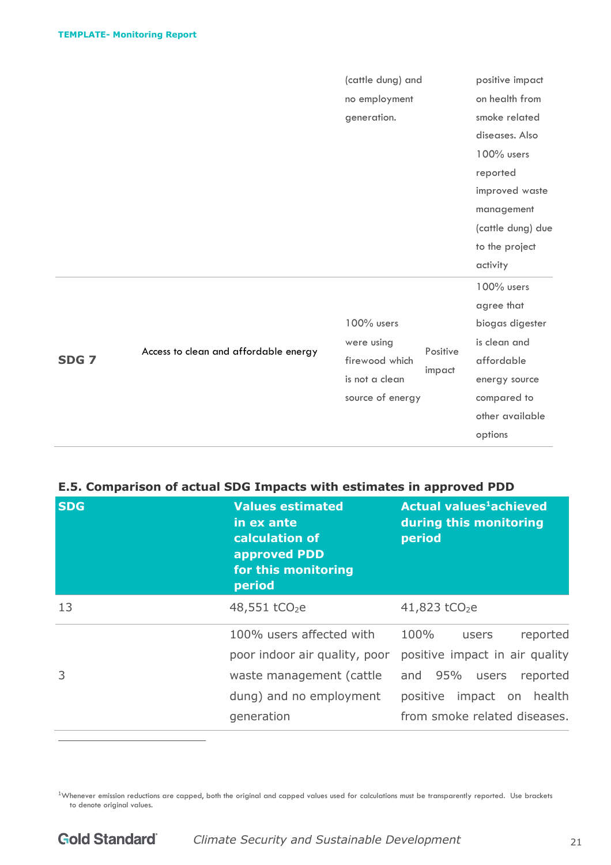|                  |                                       | (cattle dung) and |          | positive impact   |
|------------------|---------------------------------------|-------------------|----------|-------------------|
|                  |                                       | no employment     |          | on health from    |
|                  |                                       | generation.       |          | smoke related     |
|                  |                                       |                   |          | diseases. Also    |
|                  |                                       |                   |          | 100% users        |
|                  |                                       |                   |          | reported          |
|                  |                                       |                   |          | improved waste    |
|                  |                                       |                   |          | management        |
|                  |                                       |                   |          | (cattle dung) due |
|                  |                                       |                   |          | to the project    |
|                  |                                       |                   |          | activity          |
|                  |                                       |                   |          | 100% users        |
|                  |                                       |                   |          | agree that        |
|                  |                                       | 100% users        |          | biogas digester   |
|                  |                                       | were using        | Positive | is clean and      |
| SDG <sub>7</sub> | Access to clean and affordable energy | firewood which    | impact   | affordable        |
|                  |                                       | is not a clean    |          | energy source     |
|                  |                                       | source of energy  |          | compared to       |
|                  |                                       |                   |          | other available   |
|                  |                                       |                   |          | options           |

# **E.5. Comparison of actual SDG Impacts with estimates in approved PDD**

| <b>SDG</b> | <b>Values estimated</b><br>in ex ante<br>calculation of<br>approved PDD<br>for this monitoring<br>period                       | <b>Actual values<sup>1</sup>achieved</b><br>during this monitoring<br>period                                                                             |  |  |  |  |
|------------|--------------------------------------------------------------------------------------------------------------------------------|----------------------------------------------------------------------------------------------------------------------------------------------------------|--|--|--|--|
| 13         | 48,551 tCO <sub>2</sub> e                                                                                                      | 41,823 tCO <sub>2</sub> e                                                                                                                                |  |  |  |  |
| 3          | 100% users affected with<br>poor indoor air quality, poor<br>waste management (cattle<br>dung) and no employment<br>generation | 100%<br>reported<br>users<br>positive impact in air quality<br>and 95% users<br>reported<br>impact on health<br>positive<br>from smoke related diseases. |  |  |  |  |

<sup>1</sup>Whenever emission reductions are capped, both the original and capped values used for calculations must be transparently reported. Use brackets to denote original values.

 $\overline{a}$ 

*Climate Security and Sustainable Development* 21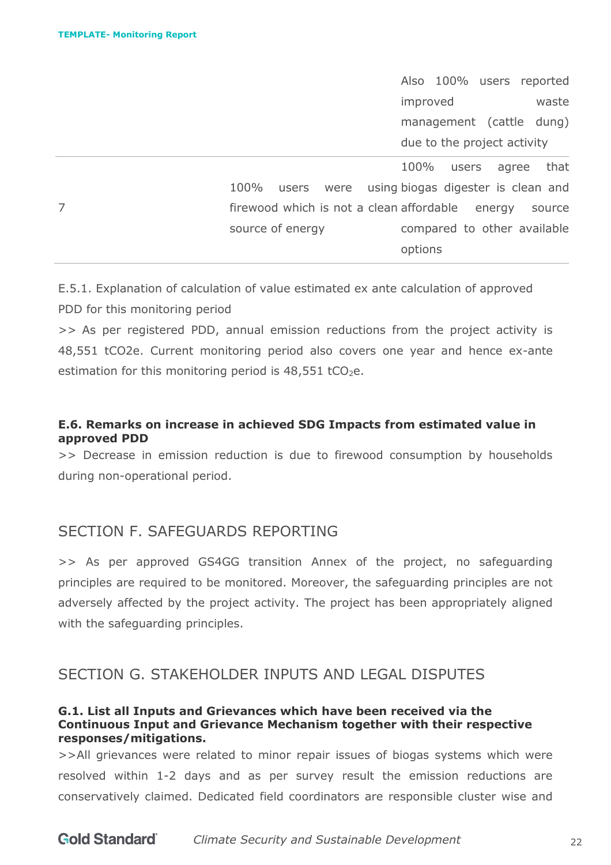7

Also 100% users reported improved waste management (cattle dung) due to the project activity

 $100\%$  users were firewood which is not a clean affordable energy source source of energy 100% users agree that using biogas digester is clean and compared to other available options

E.5.1. Explanation of calculation of value estimated ex ante calculation of approved PDD for this monitoring period

>> As per registered PDD, annual emission reductions from the project activity is 48,551 tCO2e. Current monitoring period also covers one year and hence ex-ante estimation for this monitoring period is  $48,551$  tCO<sub>2</sub>e.

### **E.6. Remarks on increase in achieved SDG Impacts from estimated value in approved PDD**

>> Decrease in emission reduction is due to firewood consumption by households during non-operational period.

# <span id="page-21-0"></span>SECTION F. SAFEGUARDS REPORTING

>> As per approved GS4GG transition Annex of the project, no safeguarding principles are required to be monitored. Moreover, the safeguarding principles are not adversely affected by the project activity. The project has been appropriately aligned with the safeguarding principles.

# <span id="page-21-1"></span>SECTION G. STAKEHOLDER INPUTS AND LEGAL DISPUTES

#### **G.1. List all Inputs and Grievances which have been received via the Continuous Input and Grievance Mechanism together with their respective responses/mitigations.**

>>All grievances were related to minor repair issues of biogas systems which were resolved within 1-2 days and as per survey result the emission reductions are conservatively claimed. Dedicated field coordinators are responsible cluster wise and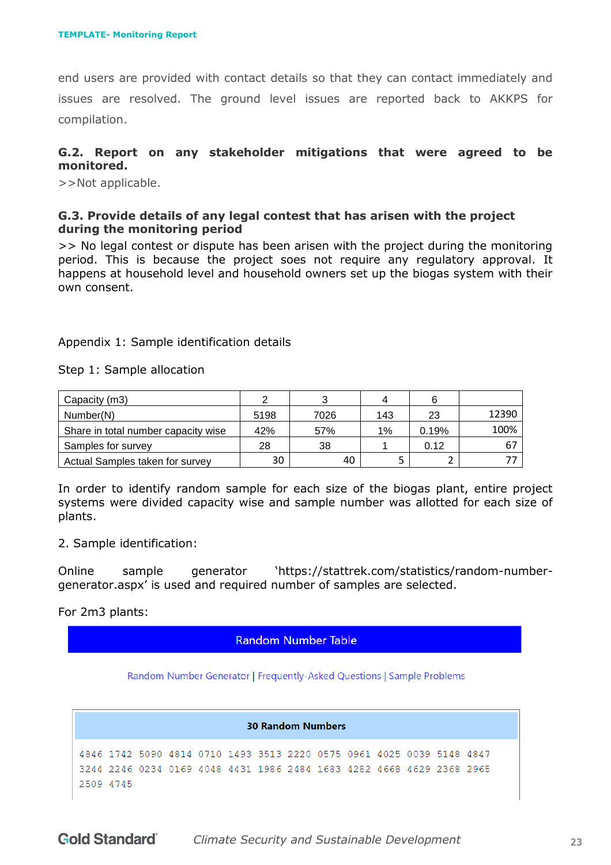end users are provided with contact details so that they can contact immediately and issues are resolved. The ground level issues are reported back to AKKPS for compilation.

#### **G.2. Report on any stakeholder mitigations that were agreed to be monitored.**

>>Not applicable.

#### **G.3. Provide details of any legal contest that has arisen with the project during the monitoring period**

>> No legal contest or dispute has been arisen with the project during the monitoring period. This is because the project soes not require any regulatory approval. It happens at household level and household owners set up the biogas system with their own consent.

#### Appendix 1: Sample identification details

Step 1: Sample allocation

| Capacity (m3)                       |      |      |     |       |       |
|-------------------------------------|------|------|-----|-------|-------|
| Number(N)                           | 5198 | 7026 | 143 | 23    | 12390 |
| Share in total number capacity wise | 42%  | 57%  | 1%  | 0.19% | 100%  |
| Samples for survey                  | 28   | 38   |     | 0.12  |       |
| Actual Samples taken for survey     | 30   | 40   |     |       |       |

In order to identify random sample for each size of the biogas plant, entire project systems were divided capacity wise and sample number was allotted for each size of plants.

2. Sample identification:

Online sample generator 'https://stattrek.com/statistics/random-numbergenerator.aspx' is used and required number of samples are selected.

For 2m3 plants:

**Random Number Table** 

Random Number Generator | Frequently-Asked Questions | Sample Problems

**30 Random Numbers** 4846 1742 5090 4814 0710 1493 3513 2220 0575 0961 4025 0039 5148 4847 3244 2246 0234 0169 4048 4431 1986 2484 1683 4282 4668 4629 2368 2965 2509 4745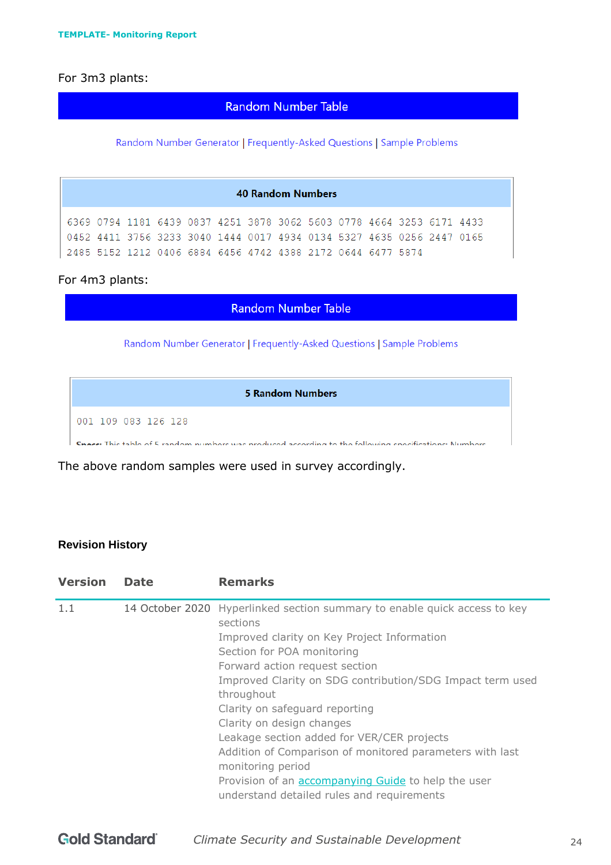# For 3m3 plants:

#### **Random Number Table**

Random Number Generator | Frequently-Asked Questions | Sample Problems

| <b>40 Random Numbers</b> |                                                                                                                                                                                                               |  |  |  |  |  |  |  |  |  |  |  |
|--------------------------|---------------------------------------------------------------------------------------------------------------------------------------------------------------------------------------------------------------|--|--|--|--|--|--|--|--|--|--|--|
|                          | 6369 0794 1181 6439 0837 4251 3878 3062 5603 0778 4664 3253 6171 4433<br>0452 4411 3756 3233 3040 1444 0017 4934 0134 5327 4635 0256 2447 0165<br>2485 5152 1212 0406 6884 6456 4742 4388 2172 0644 6477 5874 |  |  |  |  |  |  |  |  |  |  |  |

# For 4m3 plants:

#### **Random Number Table**

Random Number Generator | Frequently-Asked Questions | Sample Problems

| 5 Random Numbers                                                                                      |
|-------------------------------------------------------------------------------------------------------|
| 001 109 083 126 128                                                                                   |
| Space: This table of 5 random numbers was produced according to the following specifications: Numbers |

The above random samples were used in survey accordingly.

#### **Revision History**

| <b>Version</b> | <b>Date</b> | <b>Remarks</b>                                                                                                                                                                                                                                                                                                                                                                                                                                                                                                                                                                            |
|----------------|-------------|-------------------------------------------------------------------------------------------------------------------------------------------------------------------------------------------------------------------------------------------------------------------------------------------------------------------------------------------------------------------------------------------------------------------------------------------------------------------------------------------------------------------------------------------------------------------------------------------|
| 1.1            |             | 14 October 2020 Hyperlinked section summary to enable quick access to key<br>sections<br>Improved clarity on Key Project Information<br>Section for POA monitoring<br>Forward action request section<br>Improved Clarity on SDG contribution/SDG Impact term used<br>throughout<br>Clarity on safeguard reporting<br>Clarity on design changes<br>Leakage section added for VER/CER projects<br>Addition of Comparison of monitored parameters with last<br>monitoring period<br>Provision of an <b>accompanying Guide</b> to help the user<br>understand detailed rules and requirements |
|                |             |                                                                                                                                                                                                                                                                                                                                                                                                                                                                                                                                                                                           |